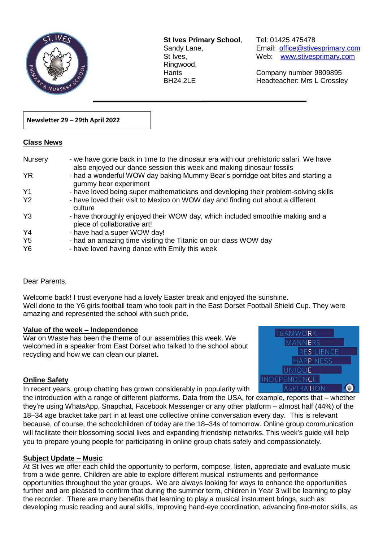

**St Ives Primary School**, Tel: 01425 475478 Ringwood,

Sandy Lane, Email: office@stivesprimary.com St Ives, [www.stivesprimary.com](http://www.stives.dorset.sch.uk/)

Hants Company number 9809895 BH24 2LE Headteacher: Mrs L Crossley

## **Newsletter 29 – 29th April 2022**

### **Class News**

| Nursery        | - we have gone back in time to the dinosaur era with our prehistoric safari. We have<br>also enjoyed our dance session this week and making dinosaur fossils |
|----------------|--------------------------------------------------------------------------------------------------------------------------------------------------------------|
| <b>YR</b>      | - had a wonderful WOW day baking Mummy Bear's porridge oat bites and starting a<br>gummy bear experiment                                                     |
| Y <sub>1</sub> | - have loved being super mathematicians and developing their problem-solving skills                                                                          |
| <b>Y2</b>      | - have loved their visit to Mexico on WOW day and finding out about a different<br>culture                                                                   |
| $Y_3$          | - have thoroughly enjoyed their WOW day, which included smoothie making and a<br>piece of collaborative art!                                                 |
| Y <sub>4</sub> | - have had a super WOW day!                                                                                                                                  |
| Y <sub>5</sub> | - had an amazing time visiting the Titanic on our class WOW day                                                                                              |
| Y <sub>6</sub> | - have loved having dance with Emily this week                                                                                                               |

 $\overline{a}$ 

### Dear Parents,

Welcome back! I trust everyone had a lovely Easter break and enjoyed the sunshine. Well done to the Y6 girls football team who took part in the East Dorset Football Shield Cup. They were amazing and represented the school with such pride.

### **Value of the week – Independence**

War on Waste has been the theme of our assemblies this week. We welcomed in a speaker from East Dorset who talked to the school about recycling and how we can clean our planet.



### **Online Safety**

In recent years, group chatting has grown considerably in popularity with

the introduction with a range of different platforms. Data from the USA, for example, reports that – whether they're using WhatsApp, Snapchat, Facebook Messenger or any other platform – almost half (44%) of the 18–34 age bracket take part in at least one collective online conversation every day. This is relevant because, of course, the schoolchildren of today are the 18–34s of tomorrow. Online group communication will facilitate their blossoming social lives and expanding friendship networks. This week's guide will help you to prepare young people for participating in online group chats safely and compassionately.

# **Subject Update – Music**

At St Ives we offer each child the opportunity to perform, compose, listen, appreciate and evaluate music from a wide genre. Children are able to explore different musical instruments and performance opportunities throughout the year groups. We are always looking for ways to enhance the opportunities further and are pleased to confirm that during the summer term, children in Year 3 will be learning to play the recorder. There are many benefits that learning to play a musical instrument brings, such as: developing music reading and aural skills, improving hand-eye coordination, advancing fine-motor skills, as